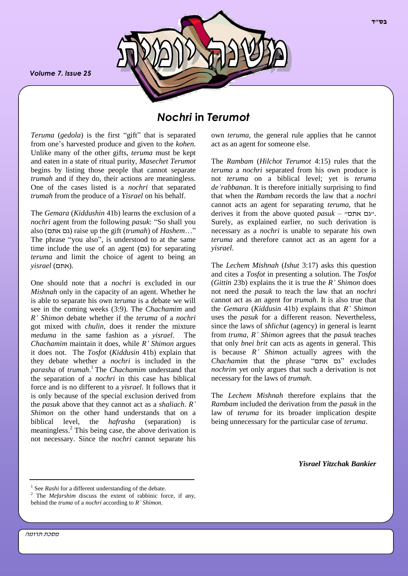*Volume 7. Issue 25*



# *Nochri* **in** *Terumot*

*Teruma* (*gedola*) is the first "gift" that is separated from one's harvested produce and given to the *kohen*. Unlike many of the other gifts, *teruma* must be kept and eaten in a state of ritual purity, *Masechet Terumot* begins by listing those people that cannot separate *trumah* and if they do, their actions are meaningless. One of the cases listed is a *nochri* that separated *trumah* from the produce of a *Yisrael* on his behalf.

The *Gemara* (*Kiddushin* 41b) learns the exclusion of a *nochri* agent from the following *pasuk*: "So shall you also (אתם גם (raise up the gift (*trumah*) of *Hashem*…" The phrase "you also", is understood to at the same time include the use of an agent  $(2)$  for separating *teruma* and limit the choice of agent to being an .(אתם) *yisrael*

One should note that a *nochri* is excluded in our *Mishnah* only in the capacity of an agent. Whether he is able to separate his own *teruma* is a debate we will see in the coming weeks (3:9). The *Chachamim* and *R' Shimon* debate whether if the *teruma* of a *nochri* got mixed with *chulin,* does it render the mixture *meduma* in the same fashion as a *yisrael*. The *Chachamim* maintain it does, while *R' Shimon* argues it does not. The *Tosfot* (*Kiddusin* 41b) explain that they debate whether a *nochri* is included in the *parasha* of *trumah*. <sup>1</sup> The *Chachamim* understand that the separation of a *nochri* in this case has biblical force and is no different to a *yisrael.* It follows that it is only because of the special exclusion derived from the *pasuk* above that they cannot act as a *shaliach*. *R' Shimon* on the other hand understands that on a biblical level, the *hafrasha* (separation) is meaningless.<sup>2</sup> This being case, the above derivation is not necessary. Since the *nochri* cannot separate his

own *teruma*, the general rule applies that he cannot act as an agent for someone else.

The *Rambam* (*Hilchot Terumot* 4:15) rules that the *teruma* a *nochri* separated from his own produce is not *teruma* on a biblical level; yet is *teruma de'rabbanan*. It is therefore initially surprising to find that when the *Rambam* records the law that a *nochri* cannot acts an agent for separating *teruma*, that he derives it from the above quoted *pasuk* – "אתם גם". Surely, as explained earlier, no such derivation is necessary as a *nochri* is unable to separate his own *teruma* and therefore cannot act as an agent for a *yisrael*.

The *Lechem Mishnah* (*Ishut* 3:17) asks this question and cites a *Tosfot* in presenting a solution. The *Tosfot* (*Gittin* 23b) explains the it is true the *R' Shimon* does not need the *pasuk* to teach the law that an *nochri* cannot act as an agent for *trumah*. It is also true that the *Gemara* (*Kiddusin* 41b) explains that *R' Shimon*  uses the *pasuk* for a different reason. Nevertheless, since the laws of *shlichut* (agency) in general is learnt from *truma*, *R' Shimon* agrees that the *pasuk* teaches that only *bnei brit* can acts as agents in general. This is because *R' Shimon* actually agrees with the *Chachamim* that the phrase "אתם גם "excludes *nochrim* yet only argues that such a derivation is not necessary for the laws of *trumah*.

The *Lechem Mishnah* therefore explains that the *Rambam* included the derivation from the *pasuk* in the law of *teruma* for its broader implication despite being unnecessary for the particular case of *teruma*.

*Yisrael Yitzchak Bankier*

מסכת תרומה

<sup>1</sup> See *Rashi* for a different understanding of the debate.

<sup>&</sup>lt;sup>2</sup> The *Mefarshim* discuss the extent of rabbinic force, if any, behind the *truma* of a *nochri* according to *R' Shimon*.